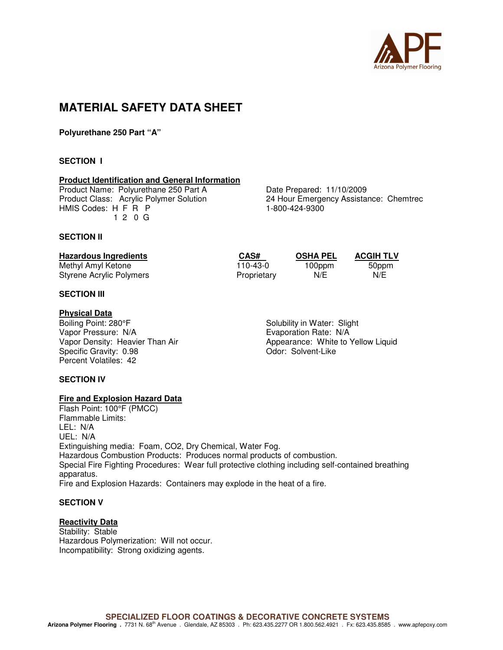

# **MATERIAL SAFETY DATA SHEET**

**Polyurethane 250 Part "A"** 

# **SECTION I**

# **Product Identification and General Information**

Product Name: Polyurethane 250 Part A<br>
Product Class: Acrylic Polymer Solution<br>
24 Hour Emergency Assistal HMIS Codes: H F R P 1-800-424-9300 1 2 0 G

24 Hour Emergency Assistance: Chemtrec

# **SECTION II**

| <b>Hazardous Ingredients</b> | CAS#        | <b>OSHA PEL</b> | <b>ACGIH TLV</b> |
|------------------------------|-------------|-----------------|------------------|
| Methyl Amyl Ketone           | 110-43-0    | 100ppm          | 50ppm            |
| Styrene Acrylic Polymers     | Proprietary | N/E             | N/E              |

# **SECTION III**

#### **Physical Data**

Boiling Point: 280°F Solubility in Water: Slight Vapor Pressure: N/A<br>
Vapor Density: Heavier Than Air **Example 2018** Appearance: White to \, Specific Gravity: 0.98 Percent Volatiles: 42

Appearance: White to Yellow Liquid Odor: Solvent-Like

# **SECTION IV**

# **Fire and Explosion Hazard Data**

Flash Point: 100°F (PMCC) Flammable Limits: LEL: N/A UEL: N/A Extinguishing media: Foam, CO2, Dry Chemical, Water Fog. Hazardous Combustion Products: Produces normal products of combustion. Special Fire Fighting Procedures: Wear full protective clothing including self-contained breathing apparatus. Fire and Explosion Hazards: Containers may explode in the heat of a fire.

# **SECTION V**

# **Reactivity Data**

Stability: Stable Hazardous Polymerization: Will not occur. Incompatibility: Strong oxidizing agents.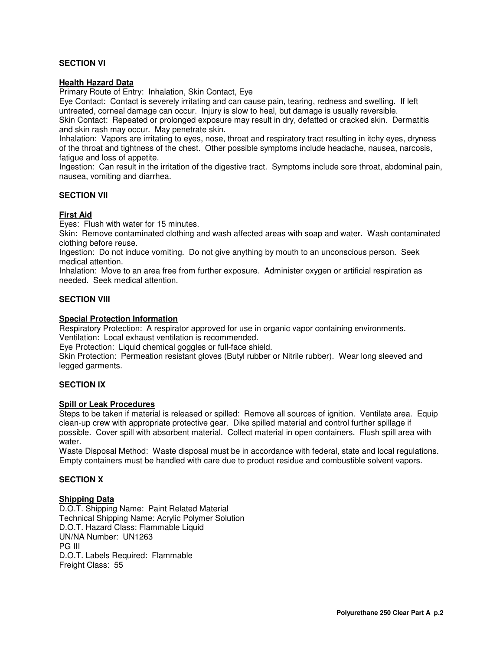# **SECTION VI**

# **Health Hazard Data**

Primary Route of Entry: Inhalation, Skin Contact, Eye

Eye Contact: Contact is severely irritating and can cause pain, tearing, redness and swelling. If left untreated, corneal damage can occur. Injury is slow to heal, but damage is usually reversible.

Skin Contact: Repeated or prolonged exposure may result in dry, defatted or cracked skin. Dermatitis and skin rash may occur. May penetrate skin.

Inhalation: Vapors are irritating to eyes, nose, throat and respiratory tract resulting in itchy eyes, dryness of the throat and tightness of the chest. Other possible symptoms include headache, nausea, narcosis, fatigue and loss of appetite.

Ingestion: Can result in the irritation of the digestive tract. Symptoms include sore throat, abdominal pain, nausea, vomiting and diarrhea.

# **SECTION VII**

# **First Aid**

Eyes: Flush with water for 15 minutes.

Skin: Remove contaminated clothing and wash affected areas with soap and water. Wash contaminated clothing before reuse.

Ingestion: Do not induce vomiting. Do not give anything by mouth to an unconscious person. Seek medical attention.

Inhalation: Move to an area free from further exposure. Administer oxygen or artificial respiration as needed. Seek medical attention.

# **SECTION VIII**

# **Special Protection Information**

Respiratory Protection: A respirator approved for use in organic vapor containing environments. Ventilation: Local exhaust ventilation is recommended.

Eye Protection: Liquid chemical goggles or full-face shield.

Skin Protection: Permeation resistant gloves (Butyl rubber or Nitrile rubber). Wear long sleeved and legged garments.

# **SECTION IX**

# **Spill or Leak Procedures**

Steps to be taken if material is released or spilled: Remove all sources of ignition. Ventilate area. Equip clean-up crew with appropriate protective gear. Dike spilled material and control further spillage if possible. Cover spill with absorbent material. Collect material in open containers. Flush spill area with water.

Waste Disposal Method: Waste disposal must be in accordance with federal, state and local regulations. Empty containers must be handled with care due to product residue and combustible solvent vapors.

# **SECTION X**

# **Shipping Data**

D.O.T. Shipping Name: Paint Related Material Technical Shipping Name: Acrylic Polymer Solution D.O.T. Hazard Class: Flammable Liquid UN/NA Number: UN1263 PG III D.O.T. Labels Required: Flammable Freight Class: 55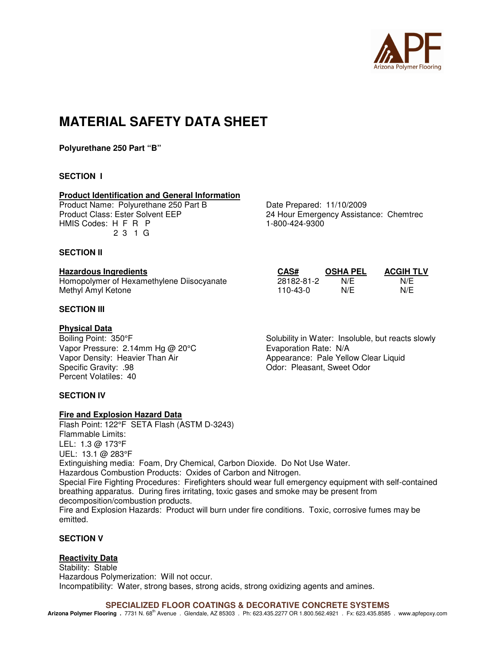

# **MATERIAL SAFETY DATA SHEET**

**Polyurethane 250 Part "B"** 

# **SECTION I**

#### **Product Identification and General Information**

Product Name: Polyurethane 250 Part B Date Prepared: 11/10/2009 HMIS Codes: H F R P 1-800-424-9300 2 3 1 G

# **SECTION II**

#### **Hazardous Ingredients**

Homopolymer of Hexamethylene Diisocyanate Methyl Amyl Ketone

# **SECTION III**

#### **Physical Data**

Vapor Pressure: 2.14mm Hg @ 20°C Evaporation Rate: N/A Percent Volatiles: 40

# **SECTION IV**

# **Fire and Explosion Hazard Data**

Flash Point: 122°F SETA Flash (ASTM D-3243) Flammable Limits: LEL: 1.3 @ 173°F UEL: 13.1 @ 283°F Extinguishing media: Foam, Dry Chemical, Carbon Dioxide. Do Not Use Water. Hazardous Combustion Products: Oxides of Carbon and Nitrogen. Special Fire Fighting Procedures: Firefighters should wear full emergency equipment with self-contained breathing apparatus. During fires irritating, toxic gases and smoke may be present from decomposition/combustion products. Fire and Explosion Hazards: Product will burn under fire conditions. Toxic, corrosive fumes may be emitted.

# **SECTION V**

# **Reactivity Data**

Stability: Stable Hazardous Polymerization: Will not occur. Incompatibility: Water, strong bases, strong acids, strong oxidizing agents and amines.

**SPECIALIZED FLOOR COATINGS & DECORATIVE CONCRETE SYSTEMS** 

Arizona Polymer Flooring . 7731 N. 68<sup>th</sup> Avenue . Glendale, AZ 85303 . Ph: 623.435.2277 OR 1.800.562.4921 . Fx: 623.435.8585 . www.apfepoxy.com

Product Class: Ester Solvent EEP 24 Hour Emergency Assistance: Chemtrec

| CAS#       | <b>OSHA PEL</b> | <b>ACGIH TLV</b> |
|------------|-----------------|------------------|
| 28182-81-2 | N/F             | N/F              |
| 110-43-0   | N/F             | N/F              |

Boiling Point: 350°F Solubility in Water: Insoluble, but reacts slowly Vapor Density: Heavier Than Air<br>
Specific Gravity: .98 <br>
Odor: Pleasant, Sweet Odor Odor: Pleasant, Sweet Odor